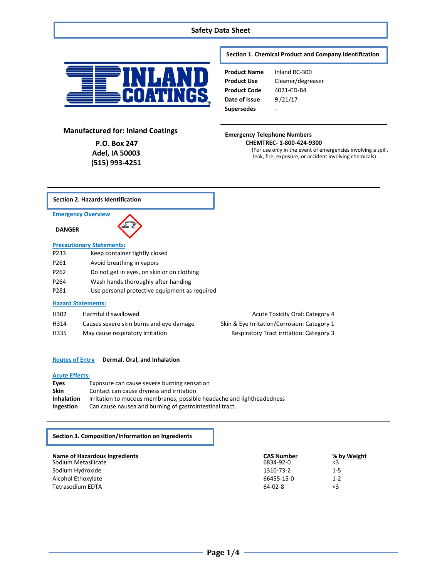# **Safety Data Sheet**



# **Section 1. Chemical Product and Company Identification**

| <b>Product Name</b> | Inland RC-300     |
|---------------------|-------------------|
| Product Use         | Cleaner/degreaser |
| Product Code        | 4021-CD-B4        |
| Date of Issue       | 9/21/17           |
| Supersedes          |                   |

# **Manufactured for: Inland Coatings**

**P.O. Box 247 Adel, IA 50003 (515) 993-4251**

# **Emergency Telephone Numbers**

**CHEMTREC- 1-800-424-9300**

(For use only in the event of emergencies involving a spill, leak, fire, exposure, or accident involving chemicals)



# **Routes of Entry Dermal, Oral, and Inhalation**

## **Acute Effects:**

| Eyes              | Exposure can cause severe burning sensation                           |
|-------------------|-----------------------------------------------------------------------|
| <b>Skin</b>       | Contact can cause dryness and irritation                              |
| <b>Inhalation</b> | Irritation to mucous membranes, possible headache and lightheadedness |
| Ingestion         | Can cause nausea and burning of gastrointestinal tract.               |

# **Section 3. Composition/Information on Ingredients**

| Name of Hazardous Ingredients<br>Sodium Metasilicate | <b>CAS Number</b><br>6834-92-0 | % by Weight<br>$\leq$ 3 |
|------------------------------------------------------|--------------------------------|-------------------------|
| Sodium Hydroxide                                     | 1310-73-2                      | $1 - 5$                 |
| Alcohol Ethoxylate                                   | 66455-15-0                     | $1 - 2$                 |
| Tetrasodium EDTA                                     | $64-02-8$                      | <3                      |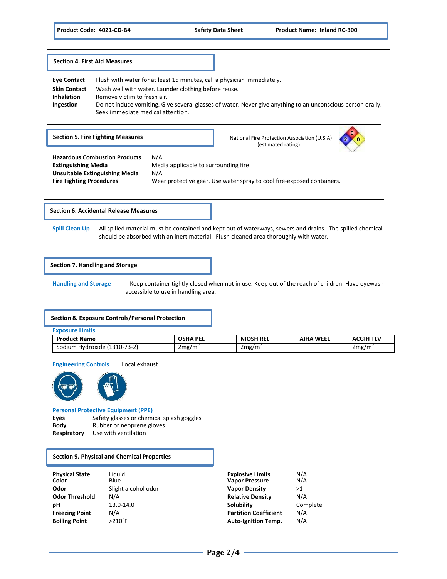**Section 4. First Aid Measures**

**Eye Contact** Flush with water for at least 15 minutes, call a physician immediately. **Skin Contact** Wash well with water. Launder clothing before reuse. **Inhalation** Remove victim to fresh air. **Ingestion** Do not induce vomiting. Give several glasses of water. Never give anything to an unconscious person orally. Seek immediate medical attention. **0 Section 5. Fire Fighting Measures** <br>National Fire Protection Association (U.S.A) (estimated rating) **Hazardous Combustion Products** N/A **Extinguishing Media** Media applicable to surrounding fire **Unsuitable Extinguishing Media** N/A **Fire Fighting Procedures** Wear protective gear. Use water spray to cool fire-exposed containers.

## **Section 6. Accidental Release Measures**

**Spill Clean Up** All spilled material must be contained and kept out of waterways, sewers and drains. The spilled chemical should be absorbed with an inert material. Flush cleaned area thoroughly with water.

## **Section 7. Handling and Storage**

**Handling and Storage** Keep container tightly closed when not in use. Keep out of the reach of children. Have eyewash accessible to use in handling area.

#### **Section 8. Exposure Controls/Personal Protection**

| <b>Exposure Limits</b>       |                 |                  |                  |                  |
|------------------------------|-----------------|------------------|------------------|------------------|
| <b>Product Name</b>          | <b>OSHA PEL</b> | <b>NIOSH REL</b> | <b>AIHA WEEL</b> | <b>ACGIH TLV</b> |
| Sodium Hydroxide (1310-73-2) | 2mg/m           | 2mg/m            |                  | 2mg/m            |

**Engineering Controls** Local exhaust





### **Personal Protective Equipment (PPE)**

Eyes Safety glasses or chemical splash goggles **Body** Rubber or neoprene gloves **Respiratory** Use with ventilation

#### **Section 9. Physical and Chemical Properties**

| <b>Physical State</b><br>Color | Liauid<br>Blue      | <b>Explosive Limits</b><br><b>Vapor Pressure</b> | N/A<br>N/A |
|--------------------------------|---------------------|--------------------------------------------------|------------|
| Odor                           | Slight alcohol odor | <b>Vapor Density</b>                             | >1         |
| <b>Odor Threshold</b>          | N/A                 | <b>Relative Density</b>                          | N/A        |
| рH                             | 13.0-14.0           | Solubility                                       | Complete   |
| <b>Freezing Point</b>          | N/A                 | <b>Partition Coefficient</b>                     | N/A        |
| <b>Boiling Point</b>           | $>210^{\circ}$ F    | <b>Auto-Ignition Temp.</b>                       | N/A        |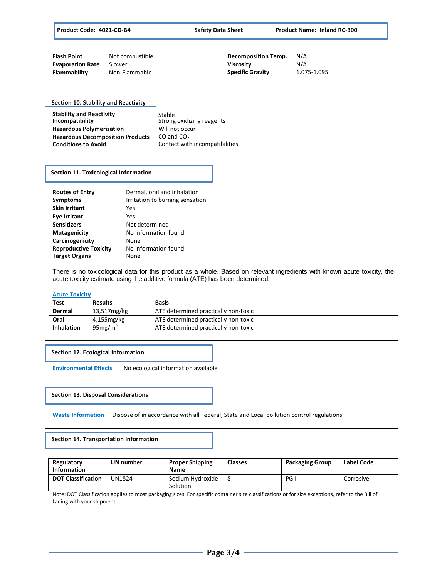| <b>Flash Point</b>      | Not combustible | <b>Decomposition Temp.</b> | N/A         |
|-------------------------|-----------------|----------------------------|-------------|
| <b>Evaporation Rate</b> | Slower          | Viscosity                  | N/A         |
| Flammability            | Non-Flammable   | <b>Specific Gravity</b>    | 1.075-1.095 |

### **Section 10. Stability and Reactivity**

| <b>Stability and Reactivity</b><br>Incompatibility | Stable<br>Strong oxidizing reagents |
|----------------------------------------------------|-------------------------------------|
| <b>Hazardous Polymerization</b>                    | Will not occur                      |
| <b>Hazardous Decomposition Products</b>            | CO and $CO2$                        |
| <b>Conditions to Avoid</b>                         | Contact with incompatibilities      |

# **Section 11. Toxicological Information**

| <b>Routes of Entry</b><br><b>Symptoms</b><br><b>Skin Irritant</b> | Dermal, oral and inhalation<br>Irritation to burning sensation<br>Yes |
|-------------------------------------------------------------------|-----------------------------------------------------------------------|
| <b>Eve Irritant</b>                                               | Yes                                                                   |
| <b>Sensitizers</b>                                                | Not determined                                                        |
| <b>Mutagenicity</b>                                               | No information found                                                  |
| Carcinogenicity                                                   | None                                                                  |
| <b>Reproductive Toxicity</b>                                      | No information found                                                  |
| <b>Target Organs</b>                                              | None                                                                  |

There is no toxicological data for this product as a whole. Based on relevant ingredients with known acute toxicity, the acute toxicity estimate using the additive formula (ATE) has been determined.

#### **Acute Toxicity**

| Test              | <b>Results</b> | <b>Basis</b>                         |
|-------------------|----------------|--------------------------------------|
| Dermal            | 13,517mg/kg    | ATE determined practically non-toxic |
| Oral              | 4,155mg/kg     | ATE determined practically non-toxic |
| <b>Inhalation</b> | $95$ mg/m      | ATE determined practically non-toxic |

## **Section 12. Ecological Information**

**Environmental Effects** No ecological information available

### **Section 13. Disposal Considerations**

**Waste Information** Dispose of in accordance with all Federal, State and Local pollution control regulations.

**Section 14. Transportation Information**

| Regulatory<br><b>Information</b> | UN number | <b>Proper Shipping</b><br>Name | <b>Classes</b> | <b>Packaging Group</b> | Label Code |
|----------------------------------|-----------|--------------------------------|----------------|------------------------|------------|
| <b>DOT Classification</b>        | UN1824    | Sodium Hydroxide<br>Solution   |                | PGII                   | Corrosive  |

Note: DOT Classification applies to most packaging sizes. For specific container size classifications or for size exceptions, refer to the Bill of Lading with your shipment.